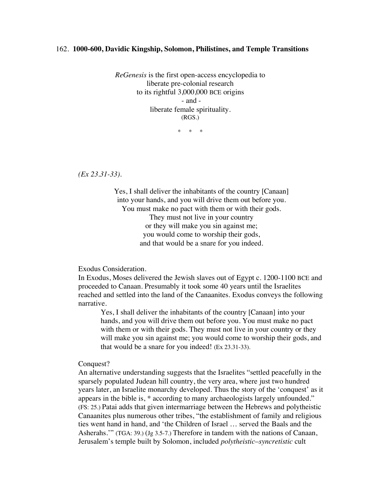## 162. **1000-600, Davidic Kingship, Solomon, Philistines, and Temple Transitions**

*ReGenesis* is the first open-access encyclopedia to liberate pre-colonial research to its rightful 3,000,000 BCE origins - and liberate female spirituality. (RGS.)

\* \* \*

*(Ex 23.31-33).*

Yes, I shall deliver the inhabitants of the country [Canaan] into your hands, and you will drive them out before you. You must make no pact with them or with their gods. They must not live in your country or they will make you sin against me; you would come to worship their gods, and that would be a snare for you indeed.

## Exodus Consideration.

In Exodus, Moses delivered the Jewish slaves out of Egypt c. 1200-1100 BCE and proceeded to Canaan. Presumably it took some 40 years until the Israelites reached and settled into the land of the Canaanites. Exodus conveys the following narrative.

Yes, I shall deliver the inhabitants of the country [Canaan] into your hands, and you will drive them out before you. You must make no pact with them or with their gods. They must not live in your country or they will make you sin against me; you would come to worship their gods, and that would be a snare for you indeed! (Ex 23.31-33).

## Conquest?

An alternative understanding suggests that the Israelites "settled peacefully in the sparsely populated Judean hill country, the very area, where just two hundred years later, an Israelite monarchy developed. Thus the story of the 'conquest' as it appears in the bible is, \* according to many archaeologists largely unfounded." (FS: 25.) Patai adds that given intermarriage between the Hebrews and polytheistic Canaanites plus numerous other tribes, "the establishment of family and religious ties went hand in hand, and 'the Children of Israel … served the Baals and the Asherahs.'" (TGA: 39.) (Jg 3.5-7.) Therefore in tandem with the nations of Canaan, Jerusalem's temple built by Solomon, included *polytheistic*–*syncretistic* cult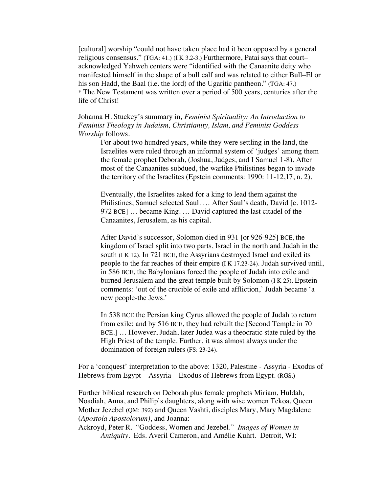[cultural] worship "could not have taken place had it been opposed by a general religious consensus." (TGA: 41.) (I K 3.2-3.) Furthermore, Patai says that court– acknowledged Yahweh centers were "identified with the Canaanite deity who manifested himself in the shape of a bull calf and was related to either Bull–El or his son Hadd, the Baal (i.e. the lord) of the Ugaritic pantheon." (TGA: 47.) \* The New Testament was written over a period of 500 years, centuries after the life of Christ!

Johanna H. Stuckey's summary in*, Feminist Spirituality: An Introduction to Feminist Theology in Judaism, Christianity, Islam, and Feminist Goddess Worship* follows.

For about two hundred years, while they were settling in the land, the Israelites were ruled through an informal system of 'judges' among them the female prophet Deborah, (Joshua, Judges, and I Samuel 1-8). After most of the Canaanites subdued, the warlike Philistines began to invade the territory of the Israelites (Epstein comments: 1990: 11-12,17, n. 2).

Eventually, the Israelites asked for a king to lead them against the Philistines, Samuel selected Saul. … After Saul's death, David [c. 1012- 972 BCE] … became King. … David captured the last citadel of the Canaanites, Jerusalem, as his capital.

After David's successor, Solomon died in 931 [or 926-925] BCE, the kingdom of Israel split into two parts, Israel in the north and Judah in the south (I K 12). In 721 BCE, the Assyrians destroyed Israel and exiled its people to the far reaches of their empire (I K 17.23-24). Judah survived until, in 586 BCE, the Babylonians forced the people of Judah into exile and burned Jerusalem and the great temple built by Solomon (I K 25). Epstein comments: 'out of the crucible of exile and affliction,' Judah became 'a new people-the Jews.'

In 538 BCE the Persian king Cyrus allowed the people of Judah to return from exile; and by 516 BCE, they had rebuilt the [Second Temple in 70 BCE.] … However, Judah, later Judea was a theocratic state ruled by the High Priest of the temple. Further, it was almost always under the domination of foreign rulers (FS: 23-24).

For a 'conquest' interpretation to the above: 1320, Palestine - Assyria - Exodus of Hebrews from Egypt – Assyria – Exodus of Hebrews from Egypt. (RGS.)

Further biblical research on Deborah plus female prophets Miriam, Huldah, Noadiah, Anna, and Philip's daughters, along with wise women Tekoa, Queen Mother Jezebel (QM: 392) and Queen Vashti, disciples Mary, Mary Magdalene (*Apostola Apostolorum)*, and Joanna:

Ackroyd, Peter R. "Goddess, Women and Jezebel." *Images of Women in Antiquity.* Eds. Averil Cameron, and Amélie Kuhrt. Detroit, WI: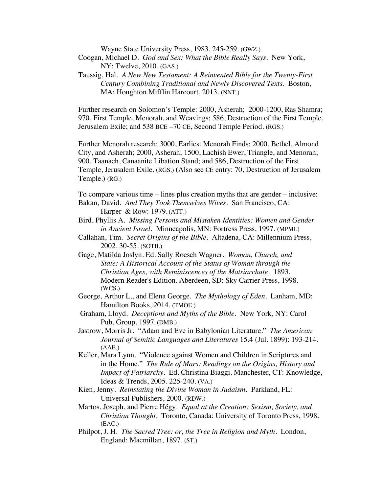Wayne State University Press, 1983. 245-259. (GWZ.)

- Coogan, Michael D. *God and Sex: What the Bible Really Says*. New York, NY: Twelve, 2010. (GAS.)
- Taussig, Hal. *A New New Testament: A Reinvented Bible for the Twenty-First Century Combining Traditional and Newly Discovered Texts*. Boston, MA: Houghton Mifflin Harcourt, 2013. (NNT.)

Further research on Solomon's Temple: 2000, Asherah; 2000-1200, Ras Shamra; 970, First Temple, Menorah, and Weavings; 586, Destruction of the First Temple, Jerusalem Exile; and 538 BCE –70 CE, Second Temple Period. (RGS.)

Further Menorah research: 3000, Earliest Menorah Finds; 2000, Bethel, Almond City, and Asherah; 2000, Asherah; 1500, Lachish Ewer, Triangle, and Menorah; 900, Taanach, Canaanite Libation Stand; and 586, Destruction of the First Temple, Jerusalem Exile. (RGS.) (Also see CE entry: 70, Destruction of Jerusalem Temple.) (RG.)

To compare various time – lines plus creation myths that are gender – inclusive: Bakan, David. *And They Took Themselves Wives*. San Francisco, CA: Harper & Row: 1979. (ATT.)

- Bird, Phyllis A. *Missing Persons and Mistaken Identities: Women and Gender in Ancient Israel.* Minneapolis, MN: Fortress Press, 1997. (MPMI.)
- Callahan, Tim. *Secret Origins of the Bible.* Altadena, CA: Millennium Press, 2002. 30-55. (SOTB.)
- Gage, Matilda Joslyn. Ed. Sally Roesch Wagner. *Woman, Church, and State: A Historical Account of the Status of Woman through the Christian Ages, with Reminiscences of the Matriarchate*. 1893. Modern Reader's Edition. Aberdeen, SD: Sky Carrier Press, 1998. (WCS.)
- George, Arthur L., and Elena George. *The Mythology of Eden*. Lanham, MD: Hamilton Books, 2014. (TMOE.)
- Graham, Lloyd. *Deceptions and Myths of the Bible*. New York, NY: Carol Pub. Group, 1997. (DMB.)
- Jastrow, Morris Jr. "Adam and Eve in Babylonian Literature." *The American Journal of Semitic Languages and Literatures* 15.4 (Jul. 1899): 193-214. (AAE.)
- Keller, Mara Lynn. "Violence against Women and Children in Scriptures and in the Home." *The Rule of Mars: Readings on the Origins, History and Impact of Patriarchy.* Ed. Christina Biaggi. Manchester, CT: Knowledge, Ideas & Trends, 2005. 225-240. (VA.)
- Kien, Jenny. *Reinstating the Divine Woman in Judaism.* Parkland, FL: Universal Publishers, 2000. (RDW.)
- Martos, Joseph, and Pierre Hégy. *Equal at the Creation: Sexism, Society, and Christian Thought*. Toronto, Canada: University of Toronto Press, 1998. (EAC.)
- Philpot, J. H. *The Sacred Tree: or, the Tree in Religion and Myth*. London, England: Macmillan, 1897. (ST.)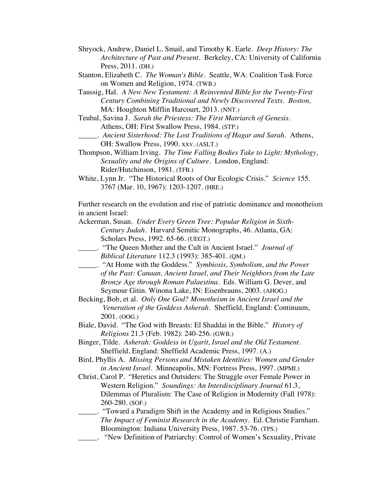- Shryock, Andrew, Daniel L. Smail, and Timothy K. Earle. *Deep History: The Architecture of Past and Present*. Berkeley, CA: University of California Press, 2011. (DH.)
- Stanton, Elizabeth C. *The Woman's Bible*. Seattle, WA: Coalition Task Force on Women and Religion, 1974. (TWB.)
- Taussig, Hal. *A New New Testament: A Reinvented Bible for the Twenty-First Century Combining Traditional and Newly Discovered Texts. Boston,*  MA: Houghton Mifflin Harcourt, 2013. (NNT.)
- Teubal, Savina J. *Sarah the Priestess: The First Matriarch of Genesis*. Athens, OH: First Swallow Press, 1984. (STP.)
- \_\_\_\_\_. *Ancient Sisterhood: The Lost Traditions of Hagar and Sarah*. Athens, OH: Swallow Press, 1990. xxv. (ASLT.)
- Thompson, William Irving. *The Time Falling Bodies Take to Light: Mythology, Sexuality and the Origins of Culture.* London, England: Rider/Hutchinson, 1981. (TFB.)
- White, Lynn Jr. "The Historical Roots of Our Ecologic Crisis." *Science* 155. 3767 (Mar. 10, 1967): 1203-1207. (HRE.)

Further research on the evolution and rise of patristic dominance and monotheism in ancient Israel:

- Ackerman, Susan. *Under Every Green Tree: Popular Religion in Sixth-Century Judah*. Harvard Semitic Monographs, 46. Atlanta, GA: Scholars Press, 1992. 65-66. (UEGT.)
- \_\_\_\_\_. "The Queen Mother and the Cult in Ancient Israel." *Journal of Biblical Literature* 112.3 (1993): 385-401. (QM.)
- \_\_\_\_\_. "At Home with the Goddess." *Symbiosis, Symbolism, and the Power of the Past: Canaan, Ancient Israel, and Their Neighbors from the Late Bronze Age through Roman Palaestina.* Eds. William G. Dever, and Seymour Gitin. Winona Lake, IN: Eisenbrauns, 2003. (AHOG.)
- Becking, Bob, et al. *Only One God? Monotheism in Ancient Israel and the Veneration of the Goddess Asherah.* Sheffield, England: Continuum, 2001. (OOG.)
- Biale, David. "The God with Breasts: El Shaddai in the Bible." *History of Religions* 21.3 (Feb. 1982): 240-256. (GWB.)
- Binger, Tilde. *Asherah: Goddess in Ugarit, Israel and the Old Testament.* Sheffield, England: Sheffield Academic Press, 1997. (A.)
- Bird, Phyllis A. *Missing Persons and Mistaken Identities: Women and Gender in Ancient Israel.* Minneapolis, MN: Fortress Press, 1997. (MPMI.)
- Christ, Carol P. "Heretics and Outsiders: The Struggle over Female Power in Western Religion." *Soundings: An Interdisciplinary Journal* 61.3, Dilemmas of Pluralism: The Case of Religion in Modernity (Fall 1978): 260-280. (SOF.)

## \_\_\_\_\_. "Toward a Paradigm Shift in the Academy and in Religious Studies." *The Impact of Feminist Research in the Academy*. Ed. Christie Farnham. Bloomington: Indiana University Press, 1987. 53-76. (TPS.)

\_\_\_\_\_. "New Definition of Patriarchy: Control of Women's Sexuality, Private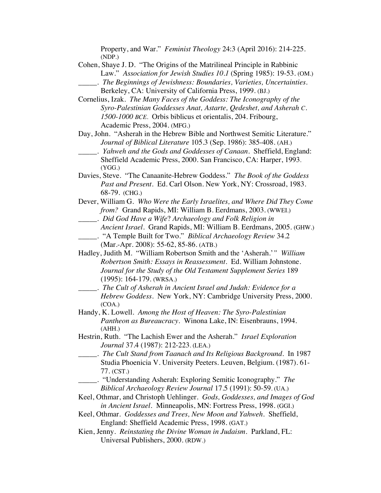Property, and War." *Feminist Theology* 24:3 (April 2016): 214-225. (NDP.)

- Cohen, Shaye J. D. "The Origins of the Matrilineal Principle in Rabbinic Law." *Association for Jewish Studies 10.1* (Spring 1985): 19-53. (OM.)
- \_\_\_\_\_. *The Beginnings of Jewishness: Boundaries, Varieties, Uncertainties.* Berkeley, CA: University of California Press, 1999. (BJ.)
- Cornelius, Izak. *The Many Faces of the Goddess: The Iconography of the Syro-Palestinian Goddesses Anat, Astarte, Qedeshet, and Asherah C. 1500-1000 BCE.* Orbis biblicus et orientalis, 204. Fribourg, Academic Press, 2004. (MFG.)
- Day, John. "Asherah in the Hebrew Bible and Northwest Semitic Literature." *Journal of Biblical Literature* 105.3 (Sep. 1986): 385-408. (AH.)
- \_\_\_\_\_. *Yahweh and the Gods and Goddesses of Canaan*. Sheffield, England: Sheffield Academic Press, 2000. San Francisco, CA: Harper, 1993. (YGG.)
- Davies, Steve. "The Canaanite-Hebrew Goddess." *The Book of the Goddess Past and Present*. Ed. Carl Olson. New York, NY: Crossroad, 1983. 68-79. (CHG.)
- Dever, William G. *Who Were the Early Israelites, and Where Did They Come from?* Grand Rapids, MI: William B. Eerdmans, 2003. (WWEI.)
- \_\_\_\_\_. *Did God Have a Wife*? *Archaeology and Folk Religion in Ancient Israel.* Grand Rapids, MI: William B. Eerdmans, 2005. (GHW.) \_\_\_\_\_. "A Temple Built for Two." *Biblical Archaeology Review* 34.2
- (Mar.-Apr. 2008): 55-62, 85-86. (ATB.)
- Hadley, Judith M. "William Robertson Smith and the 'Asherah.'*" William Robertson Smith: Essays in Reassessment*. Ed. William Johnstone. *Journal for the Study of the Old Testament Supplement Series* 189 (1995): 164-179. (WRSA.)
- \_\_\_\_\_. *The Cult of Asherah in Ancient Israel and Judah: Evidence for a Hebrew Goddess*. New York, NY: Cambridge University Press, 2000. (COA.)
- Handy, K. Lowell. *Among the Host of Heaven: The Syro-Palestinian Pantheon as Bureaucracy*. Winona Lake, IN: Eisenbrauns, 1994. (AHH.)
- Hestrin, Ruth. "The Lachish Ewer and the Asherah." *Israel Exploration Journal* 37.4 (1987): 212-223. (LEA.)
- \_\_\_\_\_. *The Cult Stand from Taanach and Its Religious Background*. In 1987 Studia Phoenicia V. University Peeters. Leuven, Belgium. (1987). 61- 77. (CST.)
	- \_\_\_\_\_. "Understanding Asherah: Exploring Semitic Iconography." *The Biblical Archaeology Review Journal* 17.5 (1991): 50-59. (UA.)
- Keel, Othmar, and Christoph Uehlinger. *Gods, Goddesses, and Images of God in Ancient Israel.* Minneapolis, MN: Fortress Press, 1998. (GGI.)
- Keel, Othmar. *Goddesses and Trees, New Moon and Yahweh*. Sheffield, England: Sheffield Academic Press, 1998. (GAT.)
- Kien, Jenny. *Reinstating the Divine Woman in Judaism.* Parkland, FL: Universal Publishers, 2000. (RDW.)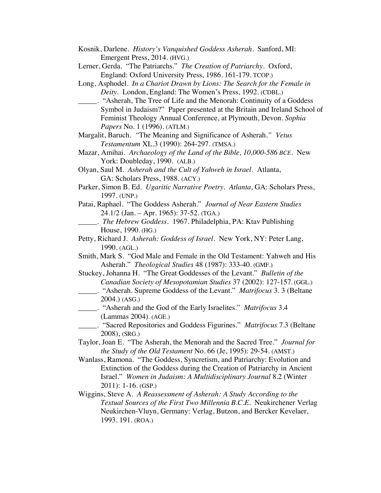- Kosnik, Darlene. *History's Vanquished Goddess Asherah*. Sanford, MI: Emergent Press, 2014. (HVG.)
- Lerner, Gerda. "The Patriarchs." *The Creation of Patriarchy.* Oxford, England: Oxford University Press, 1986. 161-179. TCOP.)
- Long, Asphodel. *In a Chariot Drawn by Lions: The Search for the Female in Deity.* London, England: The Women's Press, 1992. (CDBL.)
- \_\_\_\_\_. "Asherah, The Tree of Life and the Menorah: Continuity of a Goddess Symbol in Judaism?" Paper presented at the Britain and Ireland School of Feminist Theology Annual Conference, at Plymouth, Devon. *Sophia Papers* No. 1 (1996). (ATLM.)
- Margalit, Baruch. *"*The Meaning and Significance of Asherah.*" Vetus Testamentum* XL.3 (1990): 264-297. (TMSA.)
- Mazar, Amihai. *Archaeology of the Land of the Bible, 10,000-586 BCE.* New York: Doubleday, 1990. (ALB.)
- Olyan, Saul M. *Asherah and the Cult of Yahweh in Israel.* Atlanta, GA: Scholars Press, 1988. (ACY.)
- Parker, Simon B. Ed. *Ugaritic Narrative Poetry. Atlanta,* GA: Scholars Press, 1997. (UNP.)
- Patai, Raphael. "The Goddess Asherah." *Journal of Near Eastern Studies* 24.1/2 (Jan. – Apr. 1965): 37-52. (TGA.)
	- \_\_\_\_\_. *The Hebrew Goddess.* 1967. Philadelphia, PA: Ktav Publishing House, 1990. (HG.)
- Petty, Richard J*. Asherah: Goddess of Israel*. New York, NY: Peter Lang, 1990. (AGL.)
- Smith, Mark S. "God Male and Female in the Old Testament: Yahweh and His Asherah." *Theological Studies* 48 (1987): 333-40. (GMF.)
- Stuckey, Johanna H. "The Great Goddesses of the Levant." *Bulletin of the Canadian Society of Mesopotamian Studies* 37 (2002): 127-157. (GGL.)
- \_\_\_\_\_. "Asherah. Supreme Goddess of the Levant." *Matrifocus* 3. 3 (Beltane 2004.) (ASG.)
- \_\_\_\_\_. "Asherah and the God of the Early Israelites." *Matrifocus* 3.4 (Lammas 2004). (AGE.)
	- \_\_\_\_\_. "Sacred Repositories and Goddess Figurines." *Matrifocus* 7.3 (Beltane 2008), (SRG.)
- Taylor, Joan E. "The Asherah, the Menorah and the Sacred Tree." *Journal for the Study of the Old Testament* No. 66 (Je, 1995): 29-54. (AMST.)
- Wanlass, Ramona. "The Goddess, Syncretism, and Patriarchy: Evolution and Extinction of the Goddess during the Creation of Patriarchy in Ancient Israel." *Women in Judaism: A Multidisciplinary Journal* 8.2 (Winter 2011): 1-16. (GSP.)
- Wiggins, Steve A. *A Reassessment of Asherah: A Study According to the Textual Sources of the First Two Millennia B.C.E.* Neukirchener Verlag Neukirchen-Vluyn, Germany: Verlag, Butzon, and Bercker Kevelaer, 1993. 191. (ROA.)